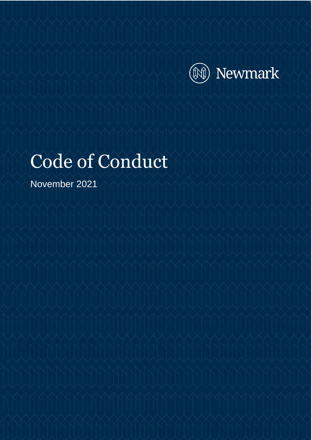

# Code of Conduct

November 2021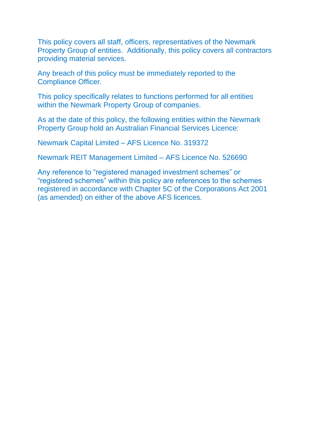This policy covers all staff, officers, representatives of the Newmark Property Group of entities. Additionally, this policy covers all contractors providing material services.

Any breach of this policy must be immediately reported to the Compliance Officer.

This policy specifically relates to functions performed for all entities within the Newmark Property Group of companies.

As at the date of this policy, the following entities within the Newmark Property Group hold an Australian Financial Services Licence:

Newmark Capital Limited – AFS Licence No. 319372

Newmark REIT Management Limited – AFS Licence No. 526690

Any reference to "registered managed investment schemes" or "registered schemes" within this policy are references to the schemes registered in accordance with Chapter 5C of the Corporations Act 2001 (as amended) on either of the above AFS licences.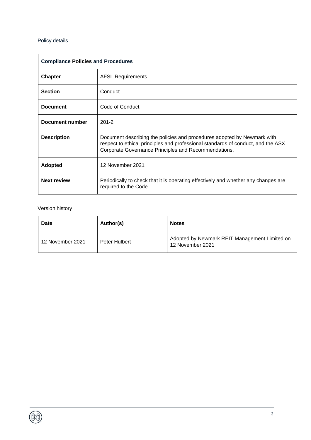#### Policy details

| <b>Compliance Policies and Procedures</b> |                                                                                                                                                                                                                     |  |  |
|-------------------------------------------|---------------------------------------------------------------------------------------------------------------------------------------------------------------------------------------------------------------------|--|--|
| <b>Chapter</b>                            | <b>AFSL Requirements</b>                                                                                                                                                                                            |  |  |
| <b>Section</b>                            | Conduct                                                                                                                                                                                                             |  |  |
| <b>Document</b>                           | Code of Conduct                                                                                                                                                                                                     |  |  |
| Document number                           | $201 - 2$                                                                                                                                                                                                           |  |  |
| <b>Description</b>                        | Document describing the policies and procedures adopted by Newmark with<br>respect to ethical principles and professional standards of conduct, and the ASX<br>Corporate Governance Principles and Recommendations. |  |  |
| <b>Adopted</b>                            | 12 November 2021                                                                                                                                                                                                    |  |  |
| <b>Next review</b>                        | Periodically to check that it is operating effectively and whether any changes are<br>required to the Code                                                                                                          |  |  |

#### Version history

| Date             | Author(s)     | <b>Notes</b>                                                      |
|------------------|---------------|-------------------------------------------------------------------|
| 12 November 2021 | Peter Hulbert | Adopted by Newmark REIT Management Limited on<br>12 November 2021 |

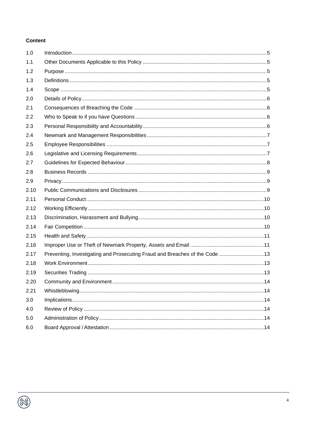#### **Content**

| 1.0  |                                                                             |  |
|------|-----------------------------------------------------------------------------|--|
| 1.1  |                                                                             |  |
| 1.2  |                                                                             |  |
| 1.3  |                                                                             |  |
| 1.4  |                                                                             |  |
| 2.0  |                                                                             |  |
| 2.1  |                                                                             |  |
| 2.2  |                                                                             |  |
| 2.3  |                                                                             |  |
| 2.4  |                                                                             |  |
| 2.5  |                                                                             |  |
| 2.6  |                                                                             |  |
| 2.7  |                                                                             |  |
| 2.8  |                                                                             |  |
| 2.9  |                                                                             |  |
| 2.10 |                                                                             |  |
| 2.11 |                                                                             |  |
| 2.12 |                                                                             |  |
| 2.13 |                                                                             |  |
| 2.14 |                                                                             |  |
| 2.15 |                                                                             |  |
| 2.16 |                                                                             |  |
| 2.17 | Preventing, Investigating and Prosecuting Fraud and Breaches of the Code 13 |  |
| 2.18 |                                                                             |  |
| 2.19 |                                                                             |  |
| 2.20 |                                                                             |  |
| 2.21 |                                                                             |  |
| 3.0  |                                                                             |  |
| 4.0  |                                                                             |  |
| 5.0  |                                                                             |  |
| 6.0  |                                                                             |  |

<span id="page-3-0"></span>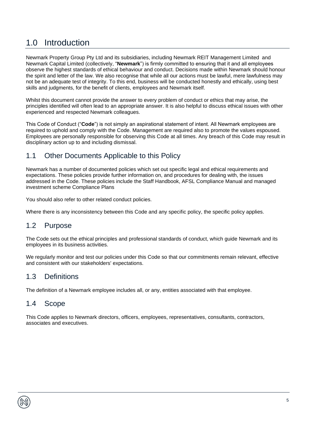# 1.0 Introduction

Newmark Property Group Pty Ltd and its subsidiaries, including Newmark REIT Management Limited and Newmark Capital Limited (collectively, "**Newmark**") is firmly committed to ensuring that it and all employees observe the highest standards of ethical behaviour and conduct. Decisions made within Newmark should honour the spirit and letter of the law. We also recognise that while all our actions must be lawful, mere lawfulness may not be an adequate test of integrity. To this end, business will be conducted honestly and ethically, using best skills and judgments, for the benefit of clients, employees and Newmark itself.

Whilst this document cannot provide the answer to every problem of conduct or ethics that may arise, the principles identified will often lead to an appropriate answer. It is also helpful to discuss ethical issues with other experienced and respected Newmark colleagues.

This Code of Conduct ("**Code**") is not simply an aspirational statement of intent. All Newmark employees are required to uphold and comply with the Code. Management are required also to promote the values espoused. Employees are personally responsible for observing this Code at all times. Any breach of this Code may result in disciplinary action up to and including dismissal.

#### <span id="page-4-0"></span>1.1 Other Documents Applicable to this Policy

Newmark has a number of documented policies which set out specific legal and ethical requirements and expectations. These policies provide further information on, and procedures for dealing with, the issues addressed in the Code. These policies include the Staff Handbook, AFSL Compliance Manual and managed investment scheme Compliance Plans

You should also refer to other related conduct policies.

Where there is any inconsistency between this Code and any specific policy, the specific policy applies.

#### <span id="page-4-1"></span>1.2 Purpose

The Code sets out the ethical principles and professional standards of conduct, which guide Newmark and its employees in its business activities.

We regularly monitor and test our policies under this Code so that our commitments remain relevant, effective and consistent with our stakeholders' expectations.

#### <span id="page-4-2"></span>1.3 Definitions

The definition of a Newmark employee includes all, or any, entities associated with that employee.

#### <span id="page-4-3"></span>1.4 Scope

<span id="page-4-4"></span>This Code applies to Newmark directors, officers, employees, representatives, consultants, contractors, associates and executives.

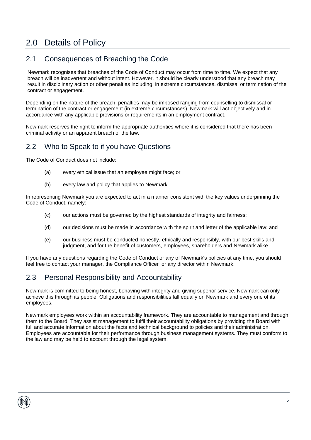# 2.0 Details of Policy

#### <span id="page-5-0"></span>2.1 Consequences of Breaching the Code

Newmark recognises that breaches of the Code of Conduct may occur from time to time. We expect that any breach will be inadvertent and without intent. However, it should be clearly understood that any breach may result in disciplinary action or other penalties including, in extreme circumstances, dismissal or termination of the contract or engagement.

Depending on the nature of the breach, penalties may be imposed ranging from counselling to dismissal or termination of the contract or engagement (in extreme circumstances). Newmark will act objectively and in accordance with any applicable provisions or requirements in an employment contract.

Newmark reserves the right to inform the appropriate authorities where it is considered that there has been criminal activity or an apparent breach of the law.

#### <span id="page-5-1"></span>2.2 Who to Speak to if you have Questions

The Code of Conduct does not include:

- (a) every ethical issue that an employee might face; or
- (b) every law and policy that applies to Newmark.

In representing Newmark you are expected to act in a manner consistent with the key values underpinning the Code of Conduct, namely:

- (c) our actions must be governed by the highest standards of integrity and fairness;
- (d) our decisions must be made in accordance with the spirit and letter of the applicable law; and
- (e) our business must be conducted honestly, ethically and responsibly, with our best skills and judgment, and for the benefit of customers, employees, shareholders and Newmark alike.

If you have any questions regarding the Code of Conduct or any of Newmark's policies at any time, you should feel free to contact your manager, the Compliance Officer or any director within Newmark.

## <span id="page-5-2"></span>2.3 Personal Responsibility and Accountability

Newmark is committed to being honest, behaving with integrity and giving superior service. Newmark can only achieve this through its people. Obligations and responsibilities fall equally on Newmark and every one of its employees.

Newmark employees work within an accountability framework. They are accountable to management and through them to the Board. They assist management to fulfil their accountability obligations by providing the Board with full and accurate information about the facts and technical background to policies and their administration. Employees are accountable for their performance through business management systems. They must conform to the law and may be held to account through the legal system.

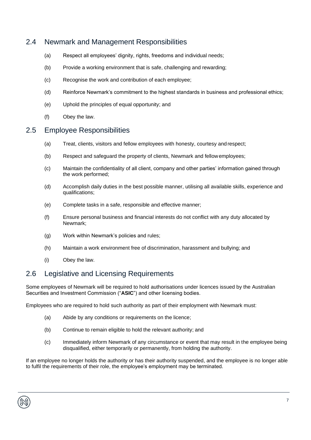#### <span id="page-6-0"></span>2.4 Newmark and Management Responsibilities

- (a) Respect all employees' dignity, rights, freedoms and individual needs;
- (b) Provide a working environment that is safe, challenging and rewarding;
- (c) Recognise the work and contribution of each employee;
- (d) Reinforce Newmark's commitment to the highest standards in business and professional ethics;
- (e) Uphold the principles of equal opportunity; and
- (f) Obey the law.

#### <span id="page-6-1"></span>2.5 Employee Responsibilities

- (a) Treat, clients, visitors and fellow employees with honesty, courtesy and respect;
- (b) Respect and safeguard the property of clients, Newmark and fellowemployees;
- (c) Maintain the confidentiality of all client, company and other parties' information gained through the work performed;
- (d) Accomplish daily duties in the best possible manner, utilising all available skills, experience and qualifications;
- (e) Complete tasks in a safe, responsible and effective manner;
- (f) Ensure personal business and financial interests do not conflict with any duty allocated by Newmark;
- (g) Work within Newmark's policies and rules;
- (h) Maintain a work environment free of discrimination, harassment and bullying; and
- (i) Obey the law.

#### <span id="page-6-2"></span>2.6 Legislative and Licensing Requirements

Some employees of Newmark will be required to hold authorisations under licences issued by the Australian Securities and Investment Commission ("**ASIC**") and other licensing bodies.

Employees who are required to hold such authority as part of their employment with Newmark must:

- (a) Abide by any conditions or requirements on the licence;
- (b) Continue to remain eligible to hold the relevant authority; and
- (c) Immediately inform Newmark of any circumstance or event that may result in the employee being disqualified, either temporarily or permanently, from holding the authority.

If an employee no longer holds the authority or has their authority suspended, and the employee is no longer able to fulfil the requirements of their role, the employee's employment may be terminated.

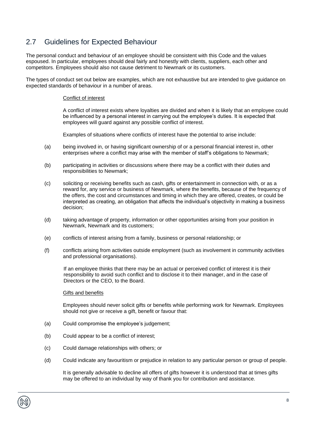## <span id="page-7-0"></span>2.7 Guidelines for Expected Behaviour

The personal conduct and behaviour of an employee should be consistent with this Code and the values espoused. In particular, employees should deal fairly and honestly with clients, suppliers, each other and competitors. Employees should also not cause detriment to Newmark or its customers.

The types of conduct set out below are examples, which are not exhaustive but are intended to give guidance on expected standards of behaviour in a number of areas.

#### Conflict of interest

A conflict of interest exists where loyalties are divided and when it is likely that an employee could be influenced by a personal interest in carrying out the employee's duties. It is expected that employees will guard against any possible conflict of interest.

Examples of situations where conflicts of interest have the potential to arise include:

- (a) being involved in, or having significant ownership of or a personal financial interest in, other enterprises where a conflict may arise with the member of staff's obligations to Newmark;
- (b) participating in activities or discussions where there may be a conflict with their duties and responsibilities to Newmark;
- (c) soliciting or receiving benefits such as cash, gifts or entertainment in connection with, or as a reward for, any service or business of Newmark, where the benefits, because of the frequency of the offers, the cost and circumstances and timing in which they are offered, creates, or could be interpreted as creating, an obligation that affects the individual's objectivity in making a business decision;
- (d) taking advantage of property, information or other opportunities arising from your position in Newmark, Newmark and its customers;
- (e) conflicts of interest arising from a family, business or personal relationship; or
- (f) conflicts arising from activities outside employment (such as involvement in community activities and professional organisations).

If an employee thinks that there may be an actual or perceived conflict of interest it is their responsibility to avoid such conflict and to disclose it to their manager, and in the case of Directors or the CEO, to the Board.

#### Gifts and benefits

Employees should never solicit gifts or benefits while performing work for Newmark. Employees should not give or receive a gift, benefit or favour that:

- (a) Could compromise the employee's judgement;
- (b) Could appear to be a conflict of interest;
- (c) Could damage relationships with others; or
- (d) Could indicate any favouritism or prejudice in relation to any particular person or group of people.

It is generally advisable to decline all offers of gifts however it is understood that at times gifts may be offered to an individual by way of thank you for contribution and assistance.

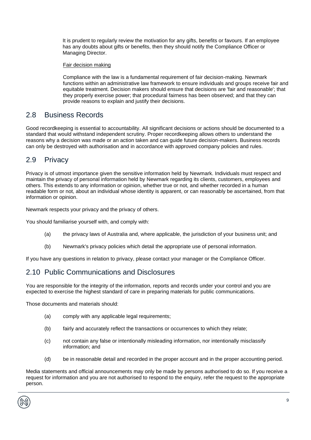It is prudent to regularly review the motivation for any gifts, benefits or favours. If an employee has any doubts about gifts or benefits, then they should notify the Compliance Officer or Managing Director.

#### Fair decision making

Compliance with the law is a fundamental requirement of fair decision-making. Newmark functions within an administrative law framework to ensure individuals and groups receive fair and equitable treatment. Decision makers should ensure that decisions are 'fair and reasonable'; that they properly exercise power; that procedural fairness has been observed; and that they can provide reasons to explain and justify their decisions.

#### <span id="page-8-0"></span>2.8 Business Records

Good recordkeeping is essential to accountability. All significant decisions or actions should be documented to a standard that would withstand independent scrutiny. Proper recordkeeping allows others to understand the reasons why a decision was made or an action taken and can guide future decision-makers. Business records can only be destroyed with authorisation and in accordance with approved company policies and rules.

#### <span id="page-8-1"></span>2.9 Privacy

Privacy is of utmost importance given the sensitive information held by Newmark. Individuals must respect and maintain the privacy of personal information held by Newmark regarding its clients, customers, employees and others. This extends to any information or opinion, whether true or not, and whether recorded in a human readable form or not, about an individual whose identity is apparent, or can reasonably be ascertained, from that information or opinion.

Newmark respects your privacy and the privacy of others.

You should familiarise yourself with, and comply with:

- (a) the privacy laws of Australia and, where applicable, the jurisdiction of your business unit; and
- (b) Newmark's privacy policies which detail the appropriate use of personal information.

If you have any questions in relation to privacy, please contact your manager or the Compliance Officer.

#### <span id="page-8-2"></span>2.10 Public Communications and Disclosures

You are responsible for the integrity of the information, reports and records under your control and you are expected to exercise the highest standard of care in preparing materials for public communications.

Those documents and materials should:

- (a) comply with any applicable legal requirements;
- (b) fairly and accurately reflect the transactions or occurrences to which they relate;
- (c) not contain any false or intentionally misleading information, nor intentionally misclassify information; and
- (d) be in reasonable detail and recorded in the proper account and in the proper accounting period.

Media statements and official announcements may only be made by persons authorised to do so. If you receive a request for information and you are not authorised to respond to the enquiry, refer the request to the appropriate person.

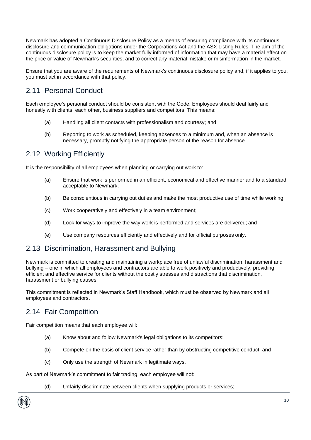Newmark has adopted a Continuous Disclosure Policy as a means of ensuring compliance with its continuous disclosure and communication obligations under the Corporations Act and the ASX Listing Rules. The aim of the continuous disclosure policy is to keep the market fully informed of information that may have a material effect on the price or value of Newmark's securities, and to correct any material mistake or misinformation in the market.

Ensure that you are aware of the requirements of Newmark's continuous disclosure policy and, if it applies to you, you must act in accordance with that policy.

## <span id="page-9-0"></span>2.11 Personal Conduct

Each employee's personal conduct should be consistent with the Code. Employees should deal fairly and honestly with clients, each other, business suppliers and competitors. This means:

- (a) Handling all client contacts with professionalism and courtesy; and
- (b) Reporting to work as scheduled, keeping absences to a minimum and, when an absence is necessary, promptly notifying the appropriate person of the reason for absence.

#### <span id="page-9-1"></span>2.12 Working Efficiently

It is the responsibility of all employees when planning or carrying out work to:

- (a) Ensure that work is performed in an efficient, economical and effective manner and to a standard acceptable to Newmark;
- (b) Be conscientious in carrying out duties and make the most productive use of time while working;
- (c) Work cooperatively and effectively in a team environment;
- (d) Look for ways to improve the way work is performed and services are delivered; and
- (e) Use company resources efficiently and effectively and for official purposes only.

#### <span id="page-9-2"></span>2.13 Discrimination, Harassment and Bullying

Newmark is committed to creating and maintaining a workplace free of unlawful discrimination, harassment and bullying – one in which all employees and contractors are able to work positively and productively, providing efficient and effective service for clients without the costly stresses and distractions that discrimination, harassment or bullying causes.

This commitment is reflected in Newmark's Staff Handbook, which must be observed by Newmark and all employees and contractors.

#### <span id="page-9-3"></span>2.14 Fair Competition

Fair competition means that each employee will:

- (a) Know about and follow Newmark's legal obligations to its competitors;
- (b) Compete on the basis of client service rather than by obstructing competitive conduct; and
- (c) Only use the strength of Newmark in legitimate ways.

As part of Newmark's commitment to fair trading, each employee will not:

(d) Unfairly discriminate between clients when supplying products or services;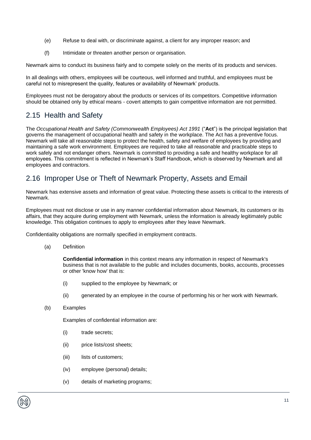- (e) Refuse to deal with, or discriminate against, a client for any improper reason; and
- (f) Intimidate or threaten another person or organisation.

Newmark aims to conduct its business fairly and to compete solely on the merits of its products and services.

In all dealings with others, employees will be courteous, well informed and truthful, and employees must be careful not to misrepresent the quality, features or availability of Newmark' products.

Employees must not be derogatory about the products or services of its competitors. Competitive information should be obtained only by ethical means - covert attempts to gain competitive information are not permitted.

## <span id="page-10-0"></span>2.15 Health and Safety

The *Occupational Health and Safety (Commonwealth Employees) Act 1991* ("**Act**") is the principal legislation that governs the management of occupational health and safety in the workplace. The Act has a preventive focus. Newmark will take all reasonable steps to protect the health, safety and welfare of employees by providing and maintaining a safe work environment. Employees are required to take all reasonable and practicable steps to work safely and not endanger others. Newmark is committed to providing a safe and healthy workplace for all employees. This commitment is reflected in Newmark's Staff Handbook, which is observed by Newmark and all employees and contractors.

## <span id="page-10-1"></span>2.16 Improper Use or Theft of Newmark Property, Assets and Email

Newmark has extensive assets and information of great value. Protecting these assets is critical to the interests of Newmark.

Employees must not disclose or use in any manner confidential information about Newmark, its customers or its affairs, that they acquire during employment with Newmark, unless the information is already legitimately public knowledge. This obligation continues to apply to employees after they leave Newmark.

Confidentiality obligations are normally specified in employment contracts.

(a) Definition

**Confidential information** in this context means any information in respect of Newmark's business that is not available to the public and includes documents, books, accounts, processes or other 'know how' that is:

- (i) supplied to the employee by Newmark; or
- (ii) generated by an employee in the course of performing his or her work with Newmark.
- (b) Examples

Examples of confidential information are:

- (i) trade secrets;
- (ii) price lists/cost sheets;
- (iii) lists of customers;
- (iv) employee (personal) details;
- (v) details of marketing programs;

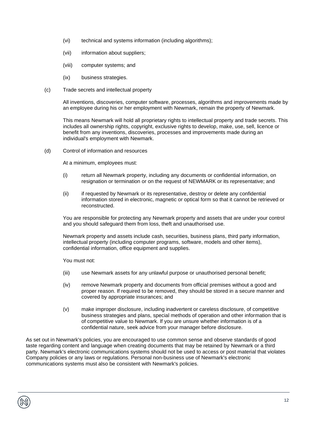- (vi) technical and systems information (including algorithms);
- (vii) information about suppliers;
- (viii) computer systems; and
- (ix) business strategies.
- (c) Trade secrets and intellectual property

All inventions, discoveries, computer software, processes, algorithms and improvements made by an employee during his or her employment with Newmark, remain the property of Newmark.

This means Newmark will hold all proprietary rights to intellectual property and trade secrets. This includes all ownership rights, copyright, exclusive rights to develop, make, use, sell, licence or benefit from any inventions, discoveries, processes and improvements made during an individual's employment with Newmark.

(d) Control of information and resources

At a minimum, employees must:

- (i) return all Newmark property, including any documents or confidential information, on resignation or termination or on the request of NEWMARK or its representative; and
- (ii) if requested by Newmark or its representative, destroy or delete any confidential information stored in electronic, magnetic or optical form so that it cannot be retrieved or reconstructed.

You are responsible for protecting any Newmark property and assets that are under your control and you should safeguard them from loss, theft and unauthorised use.

Newmark property and assets include cash, securities, business plans, third party information, intellectual property (including computer programs, software, models and other items), confidential information, office equipment and supplies.

You must not:

- (iii) use Newmark assets for any unlawful purpose or unauthorised personal benefit;
- (iv) remove Newmark property and documents from official premises without a good and proper reason. If required to be removed, they should be stored in a secure manner and covered by appropriate insurances; and
- (v) make improper disclosure, including inadvertent or careless disclosure, of competitive business strategies and plans, special methods of operation and other information that is of competitive value to Newmark. If you are unsure whether information is of a confidential nature, seek advice from your manager before disclosure.

As set out in Newmark's policies, you are encouraged to use common sense and observe standards of good taste regarding content and language when creating documents that may be retained by Newmark or a third party. Newmark's electronic communications systems should not be used to access or post material that violates Company policies or any laws or regulations. Personal non-business use of Newmark's electronic communications systems must also be consistent with Newmark's policies.

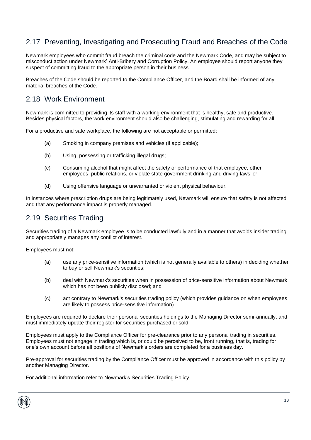## <span id="page-12-0"></span>2.17 Preventing, Investigating and Prosecuting Fraud and Breaches of the Code

Newmark employees who commit fraud breach the criminal code and the Newmark Code, and may be subject to misconduct action under Newmark' Anti-Bribery and Corruption Policy. An employee should report anyone they suspect of committing fraud to the appropriate person in their business.

Breaches of the Code should be reported to the Compliance Officer, and the Board shall be informed of any material breaches of the Code.

#### <span id="page-12-1"></span>2.18 Work Environment

Newmark is committed to providing its staff with a working environment that is healthy, safe and productive. Besides physical factors, the work environment should also be challenging, stimulating and rewarding for all.

For a productive and safe workplace, the following are not acceptable or permitted:

- (a) Smoking in company premises and vehicles (if applicable);
- (b) Using, possessing or trafficking illegal drugs;
- (c) Consuming alcohol that might affect the safety or performance of that employee, other employees, public relations, or violate state government drinking and driving laws; or
- (d) Using offensive language or unwarranted or violent physical behaviour.

In instances where prescription drugs are being legitimately used, Newmark will ensure that safety is not affected and that any performance impact is properly managed.

#### <span id="page-12-2"></span>2.19 Securities Trading

Securities trading of a Newmark employee is to be conducted lawfully and in a manner that avoids insider trading and appropriately manages any conflict of interest.

Employees must not:

- (a) use any price-sensitive information (which is not generally available to others) in deciding whether to buy or sell Newmark's securities;
- (b) deal with Newmark's securities when in possession of price-sensitive information about Newmark which has not been publicly disclosed; and
- (c) act contrary to Newmark's securities trading policy (which provides guidance on when employees are likely to possess price-sensitive information).

Employees are required to declare their personal securities holdings to the Managing Director semi-annually, and must immediately update their register for securities purchased or sold.

Employees must apply to the Compliance Officer for pre-clearance prior to any personal trading in securities. Employees must not engage in trading which is, or could be perceived to be, front running, that is, trading for one's own account before all positions of Newmark's orders are completed for a business day.

Pre-approval for securities trading by the Compliance Officer must be approved in accordance with this policy by another Managing Director.

For additional information refer to Newmark's Securities Trading Policy.

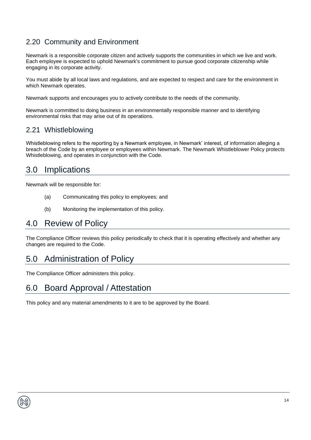# <span id="page-13-0"></span>2.20 Community and Environment

Newmark is a responsible corporate citizen and actively supports the communities in which we live and work. Each employee is expected to uphold Newmark's commitment to pursue good corporate citizenship while engaging in its corporate activity.

You must abide by all local laws and regulations, and are expected to respect and care for the environment in which Newmark operates.

Newmark supports and encourages you to actively contribute to the needs of the community.

Newmark is committed to doing business in an environmentally responsible manner and to identifying environmental risks that may arise out of its operations.

#### <span id="page-13-1"></span>2.21 Whistleblowing

Whistleblowing refers to the reporting by a Newmark employee, in Newmark' interest, of information alleging a breach of the Code by an employee or employees within Newmark. The Newmark Whistleblower Policy protects Whistleblowing, and operates in conjunction with the Code.

# <span id="page-13-2"></span>3.0 Implications

Newmark will be responsible for:

- (a) Communicating this policy to employees; and
- (b) Monitoring the implementation of this policy.

# <span id="page-13-3"></span>4.0 Review of Policy

The Compliance Officer reviews this policy periodically to check that it is operating effectively and whether any changes are required to the Code.

# <span id="page-13-4"></span>5.0 Administration of Policy

The Compliance Officer administers this policy.

# <span id="page-13-5"></span>6.0 Board Approval / Attestation

This policy and any material amendments to it are to be approved by the Board.